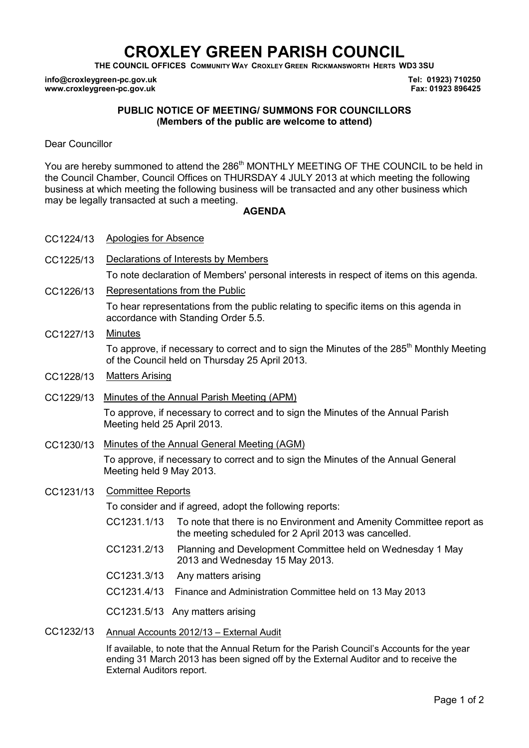# **CROXLEY GREEN PARISH COUNCIL**

**THE COUNCIL OFFICES COMMUNITY WAY CROXLEY GREEN RICKMANSWORTH HERTS WD3 3SU** 

**info@croxleygreen-pc.gov.uk www.croxleygreen-pc.gov.uk**

**Tel: 01923) 710250 Fax: 01923 896425**

## **PUBLIC NOTICE OF MEETING/ SUMMONS FOR COUNCILLORS (Members of the public are welcome to attend)**

Dear Councillor

You are hereby summoned to attend the 286<sup>th</sup> MONTHLY MEETING OF THE COUNCIL to be held in the Council Chamber, Council Offices on THURSDAY 4 JULY 2013 at which meeting the following business at which meeting the following business will be transacted and any other business which may be legally transacted at such a meeting.

#### **AGENDA**

| CC1224/13 | Apologies for Absence                                                                                                                                  |
|-----------|--------------------------------------------------------------------------------------------------------------------------------------------------------|
| CC1225/13 | Declarations of Interests by Members                                                                                                                   |
|           | To note declaration of Members' personal interests in respect of items on this agenda.                                                                 |
| CC1226/13 | Representations from the Public                                                                                                                        |
|           | To hear representations from the public relating to specific items on this agenda in<br>accordance with Standing Order 5.5.                            |
| CC1227/13 | <b>Minutes</b>                                                                                                                                         |
|           | To approve, if necessary to correct and to sign the Minutes of the 285 <sup>th</sup> Monthly Meeting<br>of the Council held on Thursday 25 April 2013. |
| CC1228/13 | <b>Matters Arising</b>                                                                                                                                 |
| CC1229/13 | Minutes of the Annual Parish Meeting (APM)                                                                                                             |
|           | To approve, if necessary to correct and to sign the Minutes of the Annual Parish<br>Meeting held 25 April 2013.                                        |
| CC1230/13 | Minutes of the Annual General Meeting (AGM)                                                                                                            |
|           | To approve, if necessary to correct and to sign the Minutes of the Annual General<br>Meeting held 9 May 2013.                                          |
| CC1231/13 | <b>Committee Reports</b>                                                                                                                               |
|           | To consider and if agreed, adopt the following reports:                                                                                                |
|           | CC1231.1/13<br>To note that there is no Environment and Amenity Committee report as<br>the meeting scheduled for 2 April 2013 was cancelled.           |
|           | CC1231.2/13<br>Planning and Development Committee held on Wednesday 1 May<br>2013 and Wednesday 15 May 2013.                                           |
|           | CC1231.3/13<br>Any matters arising                                                                                                                     |
|           | CC1231.4/13<br>Finance and Administration Committee held on 13 May 2013                                                                                |
|           | CC1231.5/13 Any matters arising                                                                                                                        |
|           |                                                                                                                                                        |

CC1232/13 Annual Accounts 2012/13 – External Audit

If available, to note that the Annual Return for the Parish Council's Accounts for the year ending 31 March 2013 has been signed off by the External Auditor and to receive the External Auditors report.